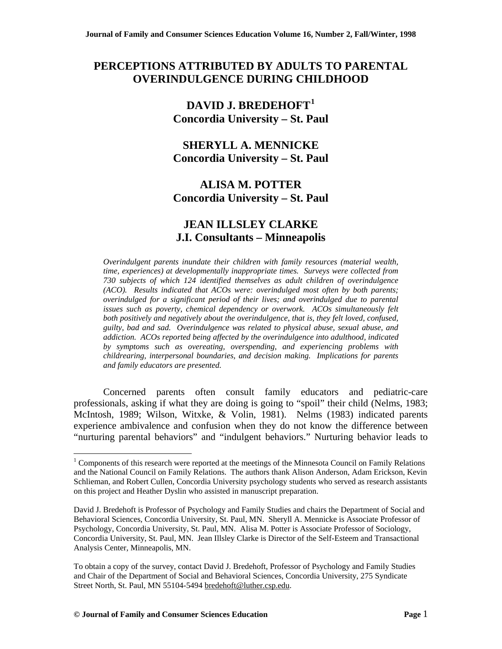# **PERCEPTIONS ATTRIBUTED BY ADULTS TO PARENTAL OVERINDULGENCE DURING CHILDHOOD**

# **DAVID J. BREDEHOFT[1](#page-0-0) Concordia University – St. Paul**

# **SHERYLL A. MENNICKE Concordia University – St. Paul**

# **ALISA M. POTTER Concordia University – St. Paul**

# **JEAN ILLSLEY CLARKE J.I. Consultants – Minneapolis**

*Overindulgent parents inundate their children with family resources (material wealth, time, experiences) at developmentally inappropriate times. Surveys were collected from 730 subjects of which 124 identified themselves as adult children of overindulgence (ACO). Results indicated that ACOs were: overindulged most often by both parents; overindulged for a significant period of their lives; and overindulged due to parental issues such as poverty, chemical dependency or overwork. ACOs simultaneously felt both positively and negatively about the overindulgence, that is, they felt loved, confused, guilty, bad and sad. Overindulgence was related to physical abuse, sexual abuse, and addiction. ACOs reported being affected by the overindulgence into adulthood, indicated by symptoms such as overeating, overspending, and experiencing problems with childrearing, interpersonal boundaries, and decision making. Implications for parents and family educators are presented.* 

Concerned parents often consult family educators and pediatric-care professionals, asking if what they are doing is going to "spoil" their child (Nelms, 1983; McIntosh, 1989; Wilson, Witxke, & Volin, 1981). Nelms (1983) indicated parents experience ambivalence and confusion when they do not know the difference between "nurturing parental behaviors" and "indulgent behaviors." Nurturing behavior leads to

 $\overline{a}$ 

<span id="page-0-0"></span> $1$  Components of this research were reported at the meetings of the Minnesota Council on Family Relations and the National Council on Family Relations. The authors thank Alison Anderson, Adam Erickson, Kevin Schlieman, and Robert Cullen, Concordia University psychology students who served as research assistants on this project and Heather Dyslin who assisted in manuscript preparation.

David J. Bredehoft is Professor of Psychology and Family Studies and chairs the Department of Social and Behavioral Sciences, Concordia University, St. Paul, MN. Sheryll A. Mennicke is Associate Professor of Psychology, Concordia University, St. Paul, MN. Alisa M. Potter is Associate Professor of Sociology, Concordia University, St. Paul, MN. Jean Illsley Clarke is Director of the Self-Esteem and Transactional Analysis Center, Minneapolis, MN.

To obtain a copy of the survey, contact David J. Bredehoft, Professor of Psychology and Family Studies and Chair of the Department of Social and Behavioral Sciences, Concordia University, 275 Syndicate Street North, St. Paul, MN 55104-5494 bredehoft@luther.csp.edu.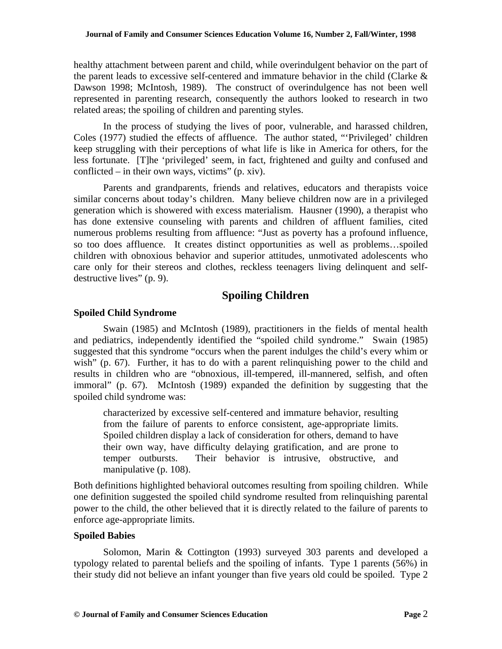healthy attachment between parent and child, while overindulgent behavior on the part of the parent leads to excessive self-centered and immature behavior in the child (Clarke & Dawson 1998; McIntosh, 1989). The construct of overindulgence has not been well represented in parenting research, consequently the authors looked to research in two related areas; the spoiling of children and parenting styles.

In the process of studying the lives of poor, vulnerable, and harassed children, Coles (1977) studied the effects of affluence. The author stated, "'Privileged' children keep struggling with their perceptions of what life is like in America for others, for the less fortunate. [T]he 'privileged' seem, in fact, frightened and guilty and confused and conflicted – in their own ways, victims" (p. xiv).

Parents and grandparents, friends and relatives, educators and therapists voice similar concerns about today's children. Many believe children now are in a privileged generation which is showered with excess materialism. Hausner (1990), a therapist who has done extensive counseling with parents and children of affluent families, cited numerous problems resulting from affluence: "Just as poverty has a profound influence, so too does affluence. It creates distinct opportunities as well as problems…spoiled children with obnoxious behavior and superior attitudes, unmotivated adolescents who care only for their stereos and clothes, reckless teenagers living delinquent and selfdestructive lives" (p. 9).

# **Spoiling Children**

## **Spoiled Child Syndrome**

Swain (1985) and McIntosh (1989), practitioners in the fields of mental health and pediatrics, independently identified the "spoiled child syndrome." Swain (1985) suggested that this syndrome "occurs when the parent indulges the child's every whim or wish" (p. 67). Further, it has to do with a parent relinguishing power to the child and results in children who are "obnoxious, ill-tempered, ill-mannered, selfish, and often immoral" (p. 67). McIntosh (1989) expanded the definition by suggesting that the spoiled child syndrome was:

characterized by excessive self-centered and immature behavior, resulting from the failure of parents to enforce consistent, age-appropriate limits. Spoiled children display a lack of consideration for others, demand to have their own way, have difficulty delaying gratification, and are prone to temper outbursts. Their behavior is intrusive, obstructive, and manipulative (p. 108).

Both definitions highlighted behavioral outcomes resulting from spoiling children. While one definition suggested the spoiled child syndrome resulted from relinquishing parental power to the child, the other believed that it is directly related to the failure of parents to enforce age-appropriate limits.

## **Spoiled Babies**

Solomon, Marin & Cottington (1993) surveyed 303 parents and developed a typology related to parental beliefs and the spoiling of infants. Type 1 parents (56%) in their study did not believe an infant younger than five years old could be spoiled. Type 2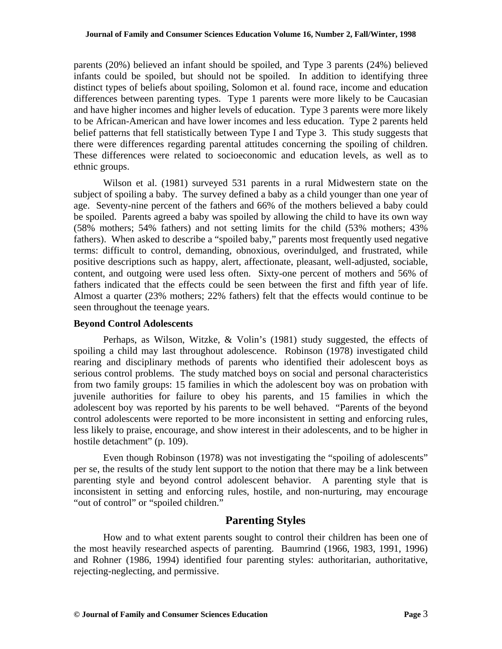parents (20%) believed an infant should be spoiled, and Type 3 parents (24%) believed infants could be spoiled, but should not be spoiled. In addition to identifying three distinct types of beliefs about spoiling, Solomon et al. found race, income and education differences between parenting types. Type 1 parents were more likely to be Caucasian and have higher incomes and higher levels of education. Type 3 parents were more likely to be African-American and have lower incomes and less education. Type 2 parents held belief patterns that fell statistically between Type I and Type 3. This study suggests that there were differences regarding parental attitudes concerning the spoiling of children. These differences were related to socioeconomic and education levels, as well as to ethnic groups.

Wilson et al. (1981) surveyed 531 parents in a rural Midwestern state on the subject of spoiling a baby. The survey defined a baby as a child younger than one year of age. Seventy-nine percent of the fathers and 66% of the mothers believed a baby could be spoiled. Parents agreed a baby was spoiled by allowing the child to have its own way (58% mothers; 54% fathers) and not setting limits for the child (53% mothers; 43% fathers). When asked to describe a "spoiled baby," parents most frequently used negative terms: difficult to control, demanding, obnoxious, overindulged, and frustrated, while positive descriptions such as happy, alert, affectionate, pleasant, well-adjusted, sociable, content, and outgoing were used less often. Sixty-one percent of mothers and 56% of fathers indicated that the effects could be seen between the first and fifth year of life. Almost a quarter (23% mothers; 22% fathers) felt that the effects would continue to be seen throughout the teenage years.

## **Beyond Control Adolescents**

 Perhaps, as Wilson, Witzke, & Volin's (1981) study suggested, the effects of spoiling a child may last throughout adolescence. Robinson (1978) investigated child rearing and disciplinary methods of parents who identified their adolescent boys as serious control problems. The study matched boys on social and personal characteristics from two family groups: 15 families in which the adolescent boy was on probation with juvenile authorities for failure to obey his parents, and 15 families in which the adolescent boy was reported by his parents to be well behaved. "Parents of the beyond control adolescents were reported to be more inconsistent in setting and enforcing rules, less likely to praise, encourage, and show interest in their adolescents, and to be higher in hostile detachment" (p. 109).

Even though Robinson (1978) was not investigating the "spoiling of adolescents" per se, the results of the study lent support to the notion that there may be a link between parenting style and beyond control adolescent behavior. A parenting style that is inconsistent in setting and enforcing rules, hostile, and non-nurturing, may encourage "out of control" or "spoiled children."

# **Parenting Styles**

How and to what extent parents sought to control their children has been one of the most heavily researched aspects of parenting. Baumrind (1966, 1983, 1991, 1996) and Rohner (1986, 1994) identified four parenting styles: authoritarian, authoritative, rejecting-neglecting, and permissive.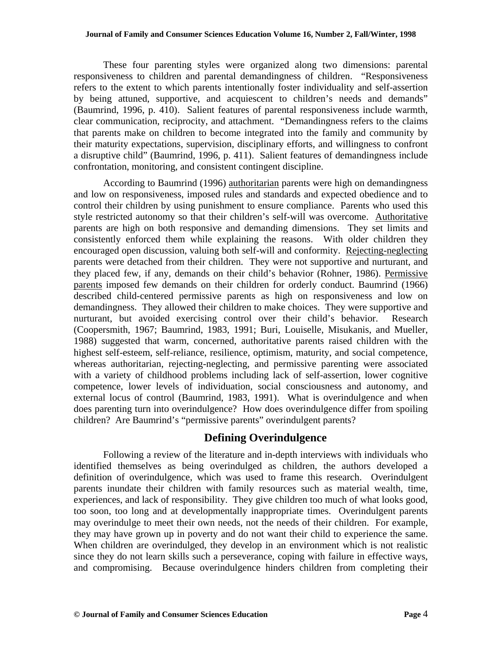These four parenting styles were organized along two dimensions: parental responsiveness to children and parental demandingness of children. "Responsiveness refers to the extent to which parents intentionally foster individuality and self-assertion by being attuned, supportive, and acquiescent to children's needs and demands" (Baumrind, 1996, p. 410). Salient features of parental responsiveness include warmth, clear communication, reciprocity, and attachment. "Demandingness refers to the claims that parents make on children to become integrated into the family and community by their maturity expectations, supervision, disciplinary efforts, and willingness to confront a disruptive child" (Baumrind, 1996, p. 411). Salient features of demandingness include confrontation, monitoring, and consistent contingent discipline.

According to Baumrind (1996) authoritarian parents were high on demandingness and low on responsiveness, imposed rules and standards and expected obedience and to control their children by using punishment to ensure compliance. Parents who used this style restricted autonomy so that their children's self-will was overcome. Authoritative parents are high on both responsive and demanding dimensions. They set limits and consistently enforced them while explaining the reasons. With older children they encouraged open discussion, valuing both self-will and conformity. Rejecting-neglecting parents were detached from their children. They were not supportive and nurturant, and they placed few, if any, demands on their child's behavior (Rohner, 1986). Permissive parents imposed few demands on their children for orderly conduct. Baumrind (1966) described child-centered permissive parents as high on responsiveness and low on demandingness. They allowed their children to make choices. They were supportive and nurturant, but avoided exercising control over their child's behavior. Research (Coopersmith, 1967; Baumrind, 1983, 1991; Buri, Louiselle, Misukanis, and Mueller, 1988) suggested that warm, concerned, authoritative parents raised children with the highest self-esteem, self-reliance, resilience, optimism, maturity, and social competence, whereas authoritarian, rejecting-neglecting, and permissive parenting were associated with a variety of childhood problems including lack of self-assertion, lower cognitive competence, lower levels of individuation, social consciousness and autonomy, and external locus of control (Baumrind, 1983, 1991). What is overindulgence and when does parenting turn into overindulgence? How does overindulgence differ from spoiling children? Are Baumrind's "permissive parents" overindulgent parents?

# **Defining Overindulgence**

Following a review of the literature and in-depth interviews with individuals who identified themselves as being overindulged as children, the authors developed a definition of overindulgence, which was used to frame this research. Overindulgent parents inundate their children with family resources such as material wealth, time, experiences, and lack of responsibility. They give children too much of what looks good, too soon, too long and at developmentally inappropriate times. Overindulgent parents may overindulge to meet their own needs, not the needs of their children. For example, they may have grown up in poverty and do not want their child to experience the same. When children are overindulged, they develop in an environment which is not realistic since they do not learn skills such a perseverance, coping with failure in effective ways, and compromising. Because overindulgence hinders children from completing their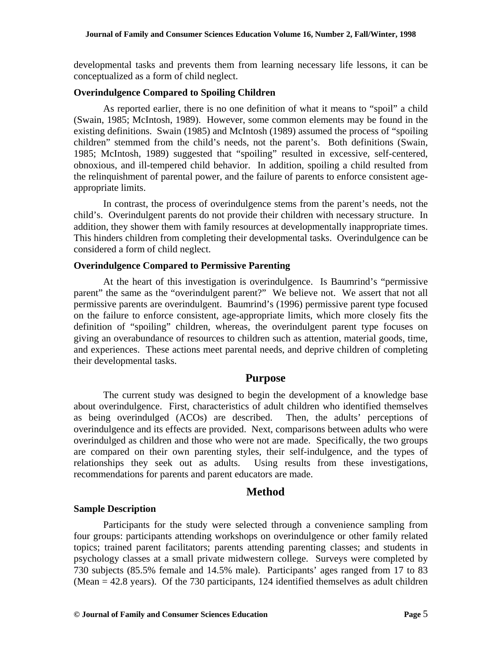developmental tasks and prevents them from learning necessary life lessons, it can be conceptualized as a form of child neglect.

#### **Overindulgence Compared to Spoiling Children**

As reported earlier, there is no one definition of what it means to "spoil" a child (Swain, 1985; McIntosh, 1989). However, some common elements may be found in the existing definitions. Swain (1985) and McIntosh (1989) assumed the process of "spoiling children" stemmed from the child's needs, not the parent's. Both definitions (Swain, 1985; McIntosh, 1989) suggested that "spoiling" resulted in excessive, self-centered, obnoxious, and ill-tempered child behavior. In addition, spoiling a child resulted from the relinquishment of parental power, and the failure of parents to enforce consistent ageappropriate limits.

In contrast, the process of overindulgence stems from the parent's needs, not the child's. Overindulgent parents do not provide their children with necessary structure. In addition, they shower them with family resources at developmentally inappropriate times. This hinders children from completing their developmental tasks. Overindulgence can be considered a form of child neglect.

## **Overindulgence Compared to Permissive Parenting**

At the heart of this investigation is overindulgence. Is Baumrind's "permissive parent" the same as the "overindulgent parent?" We believe not. We assert that not all permissive parents are overindulgent. Baumrind's (1996) permissive parent type focused on the failure to enforce consistent, age-appropriate limits, which more closely fits the definition of "spoiling" children, whereas, the overindulgent parent type focuses on giving an overabundance of resources to children such as attention, material goods, time, and experiences. These actions meet parental needs, and deprive children of completing their developmental tasks.

## **Purpose**

The current study was designed to begin the development of a knowledge base about overindulgence. First, characteristics of adult children who identified themselves as being overindulged (ACOs) are described. Then, the adults' perceptions of overindulgence and its effects are provided. Next, comparisons between adults who were overindulged as children and those who were not are made. Specifically, the two groups are compared on their own parenting styles, their self-indulgence, and the types of relationships they seek out as adults. Using results from these investigations, recommendations for parents and parent educators are made.

## **Method**

#### **Sample Description**

Participants for the study were selected through a convenience sampling from four groups: participants attending workshops on overindulgence or other family related topics; trained parent facilitators; parents attending parenting classes; and students in psychology classes at a small private midwestern college. Surveys were completed by 730 subjects (85.5% female and 14.5% male). Participants' ages ranged from 17 to 83 (Mean = 42.8 years). Of the 730 participants, 124 identified themselves as adult children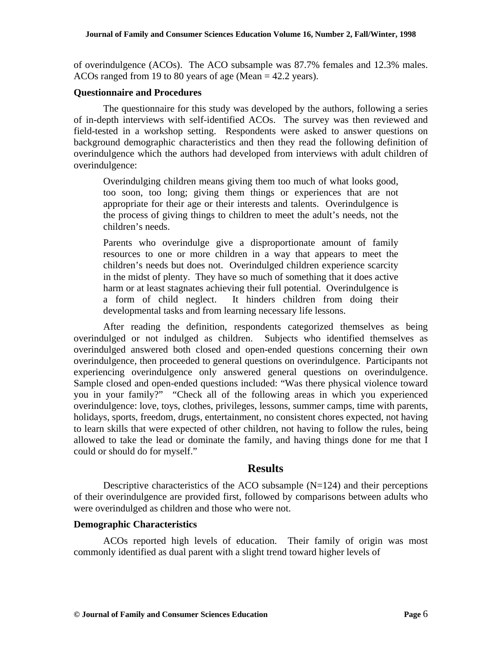of overindulgence (ACOs). The ACO subsample was 87.7% females and 12.3% males. ACOs ranged from 19 to 80 years of age (Mean = 42.2 years).

#### **Questionnaire and Procedures**

The questionnaire for this study was developed by the authors, following a series of in-depth interviews with self-identified ACOs. The survey was then reviewed and field-tested in a workshop setting. Respondents were asked to answer questions on background demographic characteristics and then they read the following definition of overindulgence which the authors had developed from interviews with adult children of overindulgence:

Overindulging children means giving them too much of what looks good, too soon, too long; giving them things or experiences that are not appropriate for their age or their interests and talents. Overindulgence is the process of giving things to children to meet the adult's needs, not the children's needs.

Parents who overindulge give a disproportionate amount of family resources to one or more children in a way that appears to meet the children's needs but does not. Overindulged children experience scarcity in the midst of plenty. They have so much of something that it does active harm or at least stagnates achieving their full potential. Overindulgence is a form of child neglect. It hinders children from doing their developmental tasks and from learning necessary life lessons.

After reading the definition, respondents categorized themselves as being overindulged or not indulged as children. Subjects who identified themselves as overindulged answered both closed and open-ended questions concerning their own overindulgence, then proceeded to general questions on overindulgence. Participants not experiencing overindulgence only answered general questions on overindulgence. Sample closed and open-ended questions included: "Was there physical violence toward you in your family?" "Check all of the following areas in which you experienced overindulgence: love, toys, clothes, privileges, lessons, summer camps, time with parents, holidays, sports, freedom, drugs, entertainment, no consistent chores expected, not having to learn skills that were expected of other children, not having to follow the rules, being allowed to take the lead or dominate the family, and having things done for me that I could or should do for myself."

## **Results**

Descriptive characteristics of the ACO subsample  $(N=124)$  and their perceptions of their overindulgence are provided first, followed by comparisons between adults who were overindulged as children and those who were not.

## **Demographic Characteristics**

ACOs reported high levels of education. Their family of origin was most commonly identified as dual parent with a slight trend toward higher levels of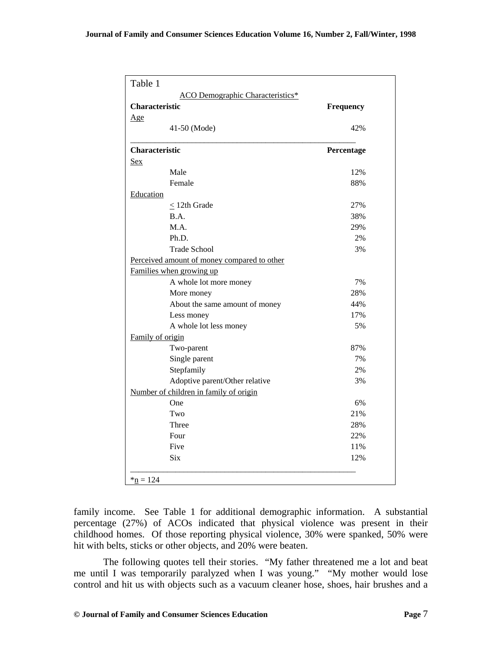| <b>Characteristic</b> | Frequency                                   |            |
|-----------------------|---------------------------------------------|------------|
| Age                   |                                             |            |
|                       | 41-50 (Mode)                                | 42%        |
| Characteristic        |                                             | Percentage |
| <b>Sex</b>            |                                             |            |
|                       | Male                                        | 12%        |
|                       | Female                                      | 88%        |
| Education             |                                             |            |
|                       | $< 12$ th Grade                             | 27%        |
|                       | B.A.                                        | 38%        |
|                       | M.A.                                        | 29%        |
|                       | Ph.D.                                       | 2%         |
|                       | <b>Trade School</b>                         | 3%         |
|                       | Perceived amount of money compared to other |            |
|                       | Families when growing up                    |            |
|                       | A whole lot more money                      | 7%         |
|                       | More money                                  | 28%        |
|                       | About the same amount of money              | 44%        |
|                       | Less money                                  | 17%        |
|                       | A whole lot less money                      | 5%         |
| Family of origin      |                                             |            |
|                       | Two-parent                                  | 87%        |
|                       | Single parent                               | 7%         |
|                       | Stepfamily                                  | 2%         |
|                       | Adoptive parent/Other relative              | 3%         |
|                       | Number of children in family of origin      |            |
|                       | One                                         | 6%         |
|                       | Two                                         | 21%        |
|                       | Three                                       | 28%        |
|                       | Four                                        | 22%        |
|                       | Five                                        | 11%        |
|                       | <b>Six</b>                                  | 12%        |

family income. See Table 1 for additional demographic information. A substantial percentage (27%) of ACOs indicated that physical violence was present in their childhood homes. Of those reporting physical violence, 30% were spanked, 50% were hit with belts, sticks or other objects, and 20% were beaten.

The following quotes tell their stories. "My father threatened me a lot and beat me until I was temporarily paralyzed when I was young." "My mother would lose control and hit us with objects such as a vacuum cleaner hose, shoes, hair brushes and a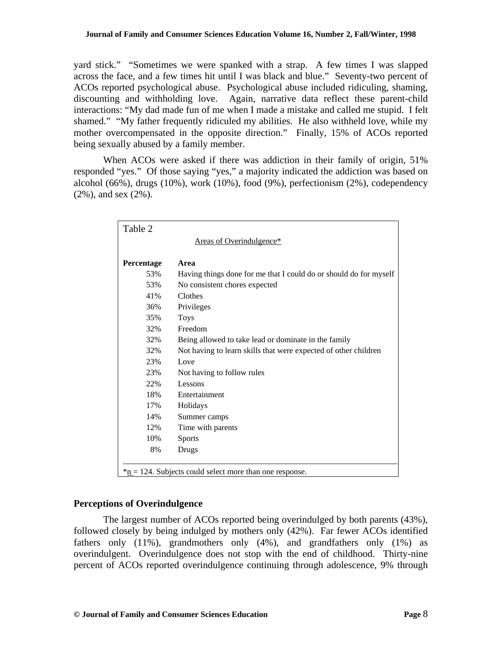yard stick." "Sometimes we were spanked with a strap. A few times I was slapped across the face, and a few times hit until I was black and blue." Seventy-two percent of ACOs reported psychological abuse. Psychological abuse included ridiculing, shaming, discounting and withholding love. Again, narrative data reflect these parent-child interactions: "My dad made fun of me when I made a mistake and called me stupid. I felt shamed." "My father frequently ridiculed my abilities. He also withheld love, while my mother overcompensated in the opposite direction." Finally, 15% of ACOs reported being sexually abused by a family member.

When ACOs were asked if there was addiction in their family of origin, 51% responded "yes." Of those saying "yes," a majority indicated the addiction was based on alcohol (66%), drugs (10%), work (10%), food (9%), perfectionism (2%), codependency (2%), and sex (2%).

| Areas of Overindulgence*                                          |
|-------------------------------------------------------------------|
|                                                                   |
| Having things done for me that I could do or should do for myself |
| No consistent chores expected                                     |
|                                                                   |
| Privileges                                                        |
|                                                                   |
|                                                                   |
| Being allowed to take lead or dominate in the family              |
| Not having to learn skills that were expected of other children   |
|                                                                   |
| Not having to follow rules                                        |
|                                                                   |
| Entertainment                                                     |
|                                                                   |
| Summer camps                                                      |
| Time with parents                                                 |
|                                                                   |
|                                                                   |
|                                                                   |

## **Perceptions of Overindulgence**

The largest number of ACOs reported being overindulged by both parents (43%), followed closely by being indulged by mothers only (42%). Far fewer ACOs identified fathers only (11%), grandmothers only (4%), and grandfathers only (1%) as overindulgent. Overindulgence does not stop with the end of childhood. Thirty-nine percent of ACOs reported overindulgence continuing through adolescence, 9% through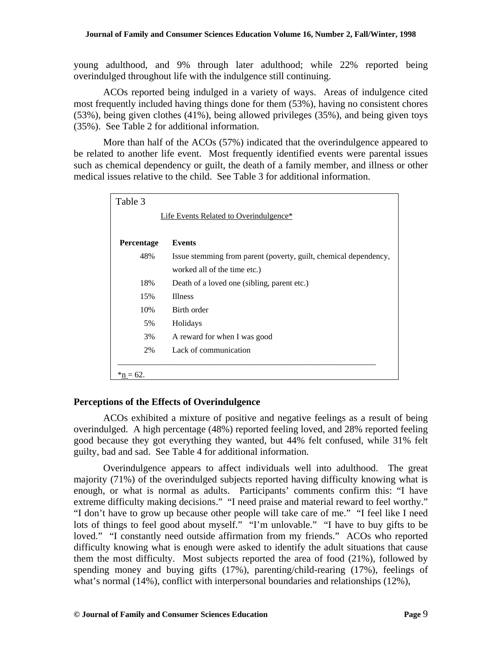young adulthood, and 9% through later adulthood; while 22% reported being overindulged throughout life with the indulgence still continuing.

ACOs reported being indulged in a variety of ways. Areas of indulgence cited most frequently included having things done for them (53%), having no consistent chores (53%), being given clothes (41%), being allowed privileges (35%), and being given toys (35%). See Table 2 for additional information.

More than half of the ACOs (57%) indicated that the overindulgence appeared to be related to another life event. Most frequently identified events were parental issues such as chemical dependency or guilt, the death of a family member, and illness or other medical issues relative to the child. See Table 3 for additional information.

| Table 3     |                                                                  |
|-------------|------------------------------------------------------------------|
|             | Life Events Related to Overindulgence*                           |
|             |                                                                  |
| Percentage  | <b>Events</b>                                                    |
| 48%         | Issue stemming from parent (poverty, guilt, chemical dependency, |
|             | worked all of the time etc.)                                     |
| 18%         | Death of a loved one (sibling, parent etc.)                      |
| 15%         | <b>Illness</b>                                                   |
| 10%         | Birth order                                                      |
| 5%          | Holidays                                                         |
| 3%          | A reward for when I was good                                     |
| 2%          | Lack of communication                                            |
|             |                                                                  |
| $*$ n = 62. |                                                                  |

## **Perceptions of the Effects of Overindulgence**

ACOs exhibited a mixture of positive and negative feelings as a result of being overindulged. A high percentage (48%) reported feeling loved, and 28% reported feeling good because they got everything they wanted, but 44% felt confused, while 31% felt guilty, bad and sad. See Table 4 for additional information.

Overindulgence appears to affect individuals well into adulthood. The great majority (71%) of the overindulged subjects reported having difficulty knowing what is enough, or what is normal as adults. Participants' comments confirm this: "I have extreme difficulty making decisions." "I need praise and material reward to feel worthy." "I don't have to grow up because other people will take care of me." "I feel like I need lots of things to feel good about myself." "I'm unlovable." "I have to buy gifts to be loved." "I constantly need outside affirmation from my friends." ACOs who reported difficulty knowing what is enough were asked to identify the adult situations that cause them the most difficulty. Most subjects reported the area of food (21%), followed by spending money and buying gifts (17%), parenting/child-rearing (17%), feelings of what's normal (14%), conflict with interpersonal boundaries and relationships (12%),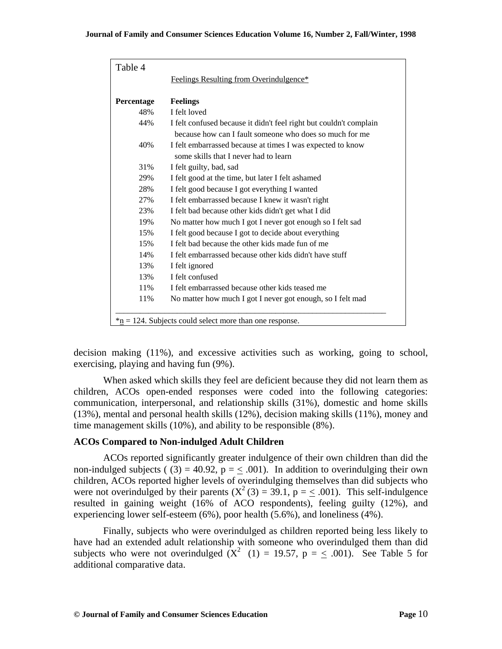| Table 4    |                                                                    |
|------------|--------------------------------------------------------------------|
|            | Feelings Resulting from Overindulgence*                            |
|            |                                                                    |
| Percentage | <b>Feelings</b>                                                    |
| 48%        | I felt loved                                                       |
| 44%        | I felt confused because it didn't feel right but couldn't complain |
|            | because how can I fault someone who does so much for me            |
| 40%        | I felt embarrassed because at times I was expected to know         |
|            | some skills that I never had to learn                              |
| 31%        | I felt guilty, bad, sad                                            |
| 29%        | I felt good at the time, but later I felt ashamed                  |
| 28%        | I felt good because I got everything I wanted                      |
| 27%        | I felt embarrassed because I knew it wasn't right                  |
| 23%        | I felt bad because other kids didn't get what I did                |
| 19%        | No matter how much I got I never got enough so I felt sad          |
| 15%        | I felt good because I got to decide about everything               |
| 15%        | I felt bad because the other kids made fun of me                   |
| 14%        | I felt embarrassed because other kids didn't have stuff            |
| 13%        | I felt ignored                                                     |
| 13%        | I felt confused                                                    |
| 11%        | I felt embarrassed because other kids teased me                    |
| 11%        | No matter how much I got I never got enough, so I felt mad         |
|            |                                                                    |
|            | $*_p$ = 124. Subjects could select more than one response.         |

decision making (11%), and excessive activities such as working, going to school, exercising, playing and having fun (9%).

When asked which skills they feel are deficient because they did not learn them as children, ACOs open-ended responses were coded into the following categories: communication, interpersonal, and relationship skills (31%), domestic and home skills (13%), mental and personal health skills (12%), decision making skills (11%), money and time management skills (10%), and ability to be responsible (8%).

## **ACOs Compared to Non-indulged Adult Children**

ACOs reported significantly greater indulgence of their own children than did the non-indulged subjects (  $(3) = 40.92$ ,  $p = < .001$ ). In addition to overindulging their own children, ACOs reported higher levels of overindulging themselves than did subjects who were not overindulged by their parents  $(X^2(3) = 39.1, p = 30.1)$ . This self-indulgence resulted in gaining weight (16% of ACO respondents), feeling guilty (12%), and experiencing lower self-esteem (6%), poor health (5.6%), and loneliness (4%).

Finally, subjects who were overindulged as children reported being less likely to have had an extended adult relationship with someone who overindulged them than did subjects who were not overindulged  $(X^2 \t(1) = 19.57, p = \langle .001 \rangle)$ . See Table 5 for additional comparative data.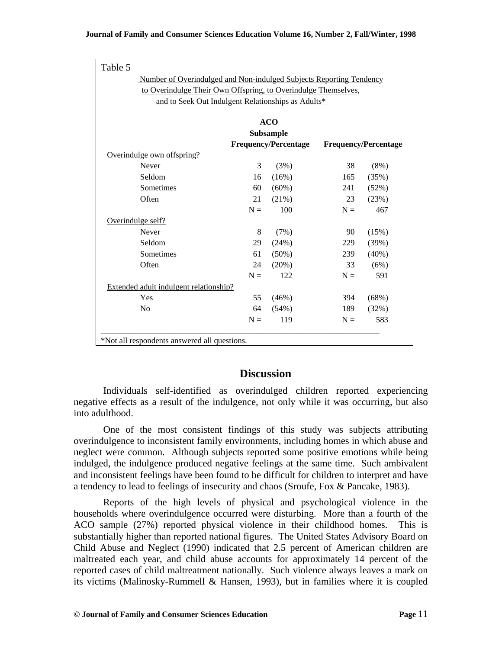| Number of Overindulged and Non-indulged Subjects Reporting Tendency |       |                             |       |                             |  |  |  |
|---------------------------------------------------------------------|-------|-----------------------------|-------|-----------------------------|--|--|--|
| to Overindulge Their Own Offspring, to Overindulge Themselves,      |       |                             |       |                             |  |  |  |
| and to Seek Out Indulgent Relationships as Adults*                  |       |                             |       |                             |  |  |  |
|                                                                     |       | <b>ACO</b>                  |       |                             |  |  |  |
|                                                                     |       | Subsample                   |       |                             |  |  |  |
|                                                                     |       | <b>Frequency/Percentage</b> |       | <b>Frequency/Percentage</b> |  |  |  |
| Overindulge own offspring?                                          |       |                             |       |                             |  |  |  |
| Never                                                               | 3     | (3%)                        | 38    | $(8\%)$                     |  |  |  |
| Seldom                                                              | 16    | (16%)                       | 165   | (35%)                       |  |  |  |
| Sometimes                                                           | 60    | (60%)                       | 241   | (52%)                       |  |  |  |
| Often                                                               | 21    | (21%)                       | 23    | (23%)                       |  |  |  |
|                                                                     | $N =$ | 100                         | $N =$ | 467                         |  |  |  |
| Overindulge self?                                                   |       |                             |       |                             |  |  |  |
| Never                                                               | 8     | (7%)                        | 90    | (15%)                       |  |  |  |
| Seldom                                                              | 29    | (24%)                       | 229   | (39%)                       |  |  |  |
| Sometimes                                                           | 61    | $(50\%)$                    | 239   | $(40\%)$                    |  |  |  |
| Often                                                               | 24    | $(20\%)$                    | 33    | (6%)                        |  |  |  |
|                                                                     | $N =$ | 122                         | $N =$ | 591                         |  |  |  |
| Extended adult indulgent relationship?                              |       |                             |       |                             |  |  |  |
| Yes                                                                 | 55    | (46%)                       | 394   | (68%)                       |  |  |  |
| N <sub>0</sub>                                                      | 64    | (54%)                       | 189   | (32%)                       |  |  |  |
|                                                                     | $N =$ | 119                         | $N =$ | 583                         |  |  |  |

# **Discussion**

Individuals self-identified as overindulged children reported experiencing negative effects as a result of the indulgence, not only while it was occurring, but also into adulthood.

One of the most consistent findings of this study was subjects attributing overindulgence to inconsistent family environments, including homes in which abuse and neglect were common. Although subjects reported some positive emotions while being indulged, the indulgence produced negative feelings at the same time. Such ambivalent and inconsistent feelings have been found to be difficult for children to interpret and have a tendency to lead to feelings of insecurity and chaos (Sroufe, Fox & Pancake, 1983).

Reports of the high levels of physical and psychological violence in the households where overindulgence occurred were disturbing. More than a fourth of the ACO sample (27%) reported physical violence in their childhood homes. This is substantially higher than reported national figures. The United States Advisory Board on Child Abuse and Neglect (1990) indicated that 2.5 percent of American children are maltreated each year, and child abuse accounts for approximately 14 percent of the reported cases of child maltreatment nationally. Such violence always leaves a mark on its victims (Malinosky-Rummell & Hansen, 1993), but in families where it is coupled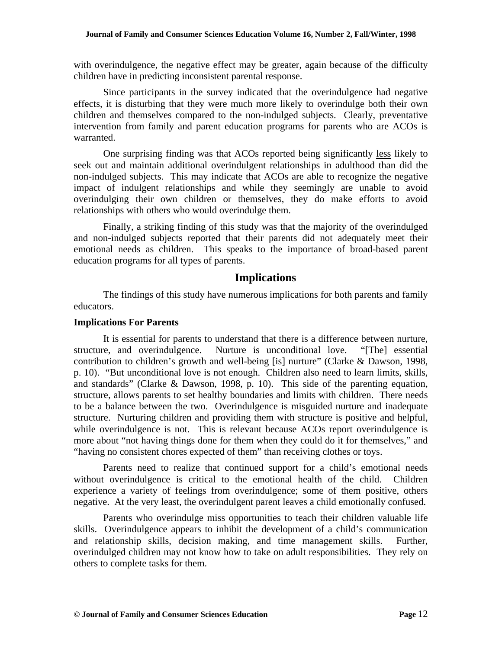with overindulgence, the negative effect may be greater, again because of the difficulty children have in predicting inconsistent parental response.

Since participants in the survey indicated that the overindulgence had negative effects, it is disturbing that they were much more likely to overindulge both their own children and themselves compared to the non-indulged subjects. Clearly, preventative intervention from family and parent education programs for parents who are ACOs is warranted.

One surprising finding was that ACOs reported being significantly less likely to seek out and maintain additional overindulgent relationships in adulthood than did the non-indulged subjects. This may indicate that ACOs are able to recognize the negative impact of indulgent relationships and while they seemingly are unable to avoid overindulging their own children or themselves, they do make efforts to avoid relationships with others who would overindulge them.

Finally, a striking finding of this study was that the majority of the overindulged and non-indulged subjects reported that their parents did not adequately meet their emotional needs as children. This speaks to the importance of broad-based parent education programs for all types of parents.

## **Implications**

The findings of this study have numerous implications for both parents and family educators.

#### **Implications For Parents**

It is essential for parents to understand that there is a difference between nurture, structure, and overindulgence. Nurture is unconditional love. "[The] essential contribution to children's growth and well-being [is] nurture" (Clarke & Dawson, 1998, p. 10). "But unconditional love is not enough. Children also need to learn limits, skills, and standards" (Clarke & Dawson, 1998, p. 10). This side of the parenting equation, structure, allows parents to set healthy boundaries and limits with children. There needs to be a balance between the two. Overindulgence is misguided nurture and inadequate structure. Nurturing children and providing them with structure is positive and helpful, while overindulgence is not. This is relevant because ACOs report overindulgence is more about "not having things done for them when they could do it for themselves," and "having no consistent chores expected of them" than receiving clothes or toys.

Parents need to realize that continued support for a child's emotional needs without overindulgence is critical to the emotional health of the child. Children experience a variety of feelings from overindulgence; some of them positive, others negative. At the very least, the overindulgent parent leaves a child emotionally confused.

Parents who overindulge miss opportunities to teach their children valuable life skills. Overindulgence appears to inhibit the development of a child's communication and relationship skills, decision making, and time management skills. Further, overindulged children may not know how to take on adult responsibilities. They rely on others to complete tasks for them.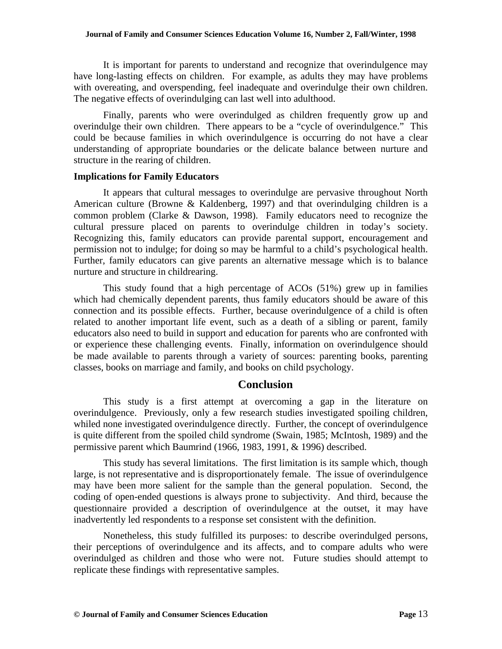It is important for parents to understand and recognize that overindulgence may have long-lasting effects on children. For example, as adults they may have problems with overeating, and overspending, feel inadequate and overindulge their own children. The negative effects of overindulging can last well into adulthood.

Finally, parents who were overindulged as children frequently grow up and overindulge their own children. There appears to be a "cycle of overindulgence." This could be because families in which overindulgence is occurring do not have a clear understanding of appropriate boundaries or the delicate balance between nurture and structure in the rearing of children.

#### **Implications for Family Educators**

It appears that cultural messages to overindulge are pervasive throughout North American culture (Browne & Kaldenberg, 1997) and that overindulging children is a common problem (Clarke & Dawson, 1998). Family educators need to recognize the cultural pressure placed on parents to overindulge children in today's society. Recognizing this, family educators can provide parental support, encouragement and permission not to indulge; for doing so may be harmful to a child's psychological health. Further, family educators can give parents an alternative message which is to balance nurture and structure in childrearing.

This study found that a high percentage of ACOs (51%) grew up in families which had chemically dependent parents, thus family educators should be aware of this connection and its possible effects. Further, because overindulgence of a child is often related to another important life event, such as a death of a sibling or parent, family educators also need to build in support and education for parents who are confronted with or experience these challenging events. Finally, information on overindulgence should be made available to parents through a variety of sources: parenting books, parenting classes, books on marriage and family, and books on child psychology.

# **Conclusion**

This study is a first attempt at overcoming a gap in the literature on overindulgence. Previously, only a few research studies investigated spoiling children, whiled none investigated overindulgence directly. Further, the concept of overindulgence is quite different from the spoiled child syndrome (Swain, 1985; McIntosh, 1989) and the permissive parent which Baumrind (1966, 1983, 1991, & 1996) described.

This study has several limitations. The first limitation is its sample which, though large, is not representative and is disproportionately female. The issue of overindulgence may have been more salient for the sample than the general population. Second, the coding of open-ended questions is always prone to subjectivity. And third, because the questionnaire provided a description of overindulgence at the outset, it may have inadvertently led respondents to a response set consistent with the definition.

Nonetheless, this study fulfilled its purposes: to describe overindulged persons, their perceptions of overindulgence and its affects, and to compare adults who were overindulged as children and those who were not. Future studies should attempt to replicate these findings with representative samples.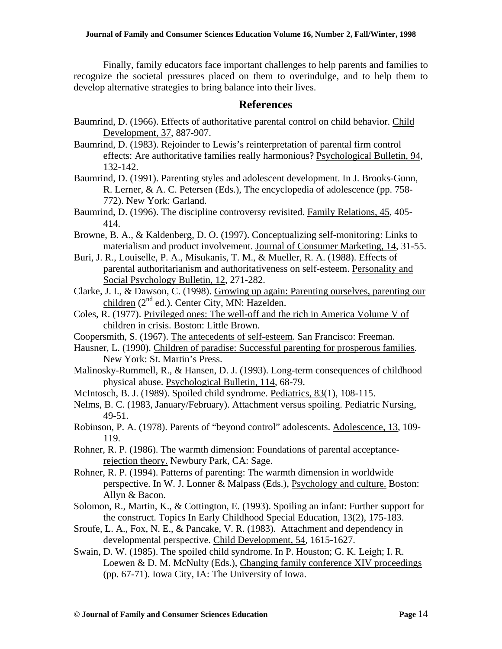Finally, family educators face important challenges to help parents and families to recognize the societal pressures placed on them to overindulge, and to help them to develop alternative strategies to bring balance into their lives.

# **References**

- Baumrind, D. (1966). Effects of authoritative parental control on child behavior. Child Development, 37, 887-907.
- Baumrind, D. (1983). Rejoinder to Lewis's reinterpretation of parental firm control effects: Are authoritative families really harmonious? Psychological Bulletin, 94, 132-142.
- Baumrind, D. (1991). Parenting styles and adolescent development. In J. Brooks-Gunn, R. Lerner, & A. C. Petersen (Eds.), The encyclopedia of adolescence (pp. 758- 772). New York: Garland.
- Baumrind, D. (1996). The discipline controversy revisited. Family Relations, 45, 405- 414.
- Browne, B. A., & Kaldenberg, D. O. (1997). Conceptualizing self-monitoring: Links to materialism and product involvement. Journal of Consumer Marketing, 14, 31-55.
- Buri, J. R., Louiselle, P. A., Misukanis, T. M., & Mueller, R. A. (1988). Effects of parental authoritarianism and authoritativeness on self-esteem. Personality and Social Psychology Bulletin, 12, 271-282.
- Clarke, J. I., & Dawson, C. (1998). Growing up again: Parenting ourselves, parenting our children (2<sup>nd</sup> ed.). Center City, MN: Hazelden.
- Coles, R. (1977). Privileged ones: The well-off and the rich in America Volume V of children in crisis. Boston: Little Brown.
- Coopersmith, S. (1967). The antecedents of self-esteem. San Francisco: Freeman.
- Hausner, L. (1990). Children of paradise: Successful parenting for prosperous families. New York: St. Martin's Press.
- Malinosky-Rummell, R., & Hansen, D. J. (1993). Long-term consequences of childhood physical abuse. Psychological Bulletin, 114, 68-79.
- McIntosch, B. J. (1989). Spoiled child syndrome. Pediatrics, 83(1), 108-115.
- Nelms, B. C. (1983, January/February). Attachment versus spoiling. Pediatric Nursing, 49-51.
- Robinson, P. A. (1978). Parents of "beyond control" adolescents. Adolescence, 13, 109- 119.
- Rohner, R. P. (1986). The warmth dimension: Foundations of parental acceptancerejection theory. Newbury Park, CA: Sage.
- Rohner, R. P. (1994). Patterns of parenting: The warmth dimension in worldwide perspective. In W. J. Lonner & Malpass (Eds.), Psychology and culture. Boston: Allyn & Bacon.
- Solomon, R., Martin, K., & Cottington, E. (1993). Spoiling an infant: Further support for the construct. Topics In Early Childhood Special Education, 13(2), 175-183.
- Sroufe, L. A., Fox, N. E., & Pancake, V. R. (1983). Attachment and dependency in developmental perspective. Child Development, 54, 1615-1627.
- Swain, D. W. (1985). The spoiled child syndrome. In P. Houston; G. K. Leigh; I. R. Loewen & D. M. McNulty (Eds.), Changing family conference XIV proceedings (pp. 67-71). Iowa City, IA: The University of Iowa.